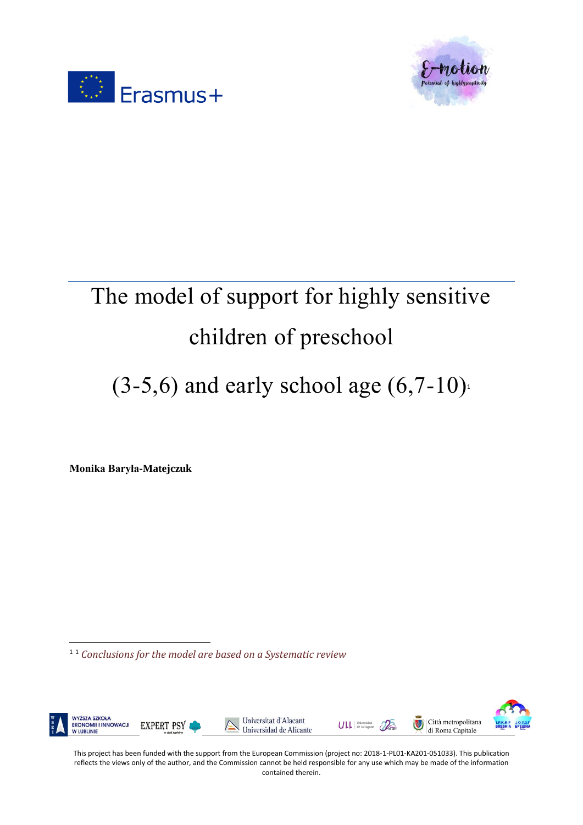



# The model of support for highly sensitive children of preschool

 $(3-5,6)$  and early school age  $(6,7-10)$ <sup>1</sup>

**Monika Baryła-Matejczuk**

 $\overline{\phantom{a}}$ 

<sup>1</sup> <sup>1</sup> *Conclusions for the model are based on a Systematic review*

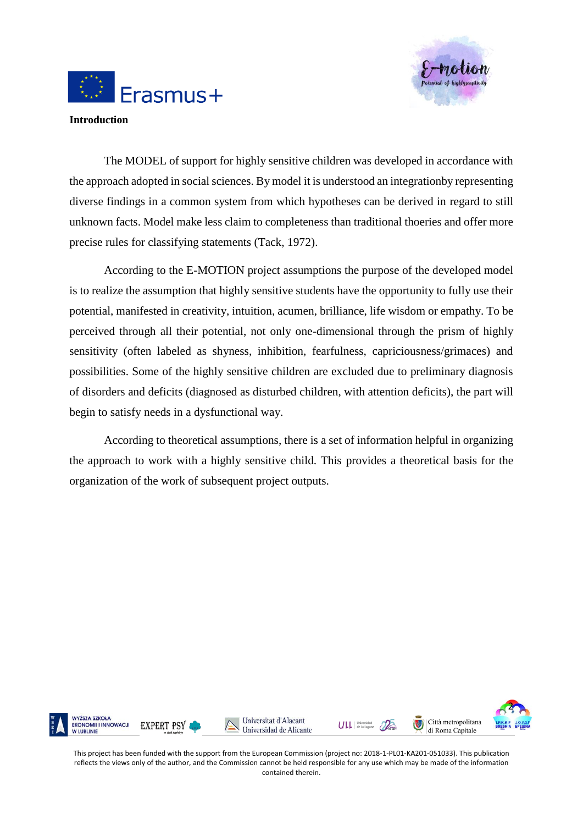



**Introduction** 

The MODEL of support for highly sensitive children was developed in accordance with the approach adopted in social sciences. By model it is understood an integrationby representing diverse findings in a common system from which hypotheses can be derived in regard to still unknown facts. Model make less claim to completeness than traditional thoeries and offer more precise rules for classifying statements (Tack, 1972).

According to the E-MOTION project assumptions the purpose of the developed model is to realize the assumption that highly sensitive students have the opportunity to fully use their potential, manifested in creativity, intuition, acumen, brilliance, life wisdom or empathy. To be perceived through all their potential, not only one-dimensional through the prism of highly sensitivity (often labeled as shyness, inhibition, fearfulness, capriciousness/grimaces) and possibilities. Some of the highly sensitive children are excluded due to preliminary diagnosis of disorders and deficits (diagnosed as disturbed children, with attention deficits), the part will begin to satisfy needs in a dysfunctional way.

According to theoretical assumptions, there is a set of information helpful in organizing the approach to work with a highly sensitive child. This provides a theoretical basis for the organization of the work of subsequent project outputs.

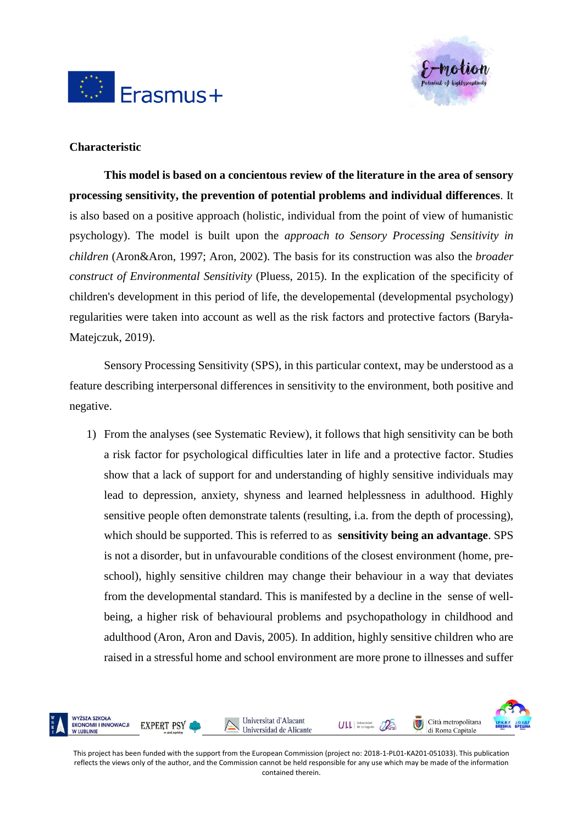



#### **Characteristic**

**This model is based on a concientous review of the literature in the area of sensory processing sensitivity, the prevention of potential problems and individual differences**. It is also based on a positive approach (holistic, individual from the point of view of humanistic psychology). The model is built upon the *approach to Sensory Processing Sensitivity in children* (Aron&Aron, 1997; Aron, 2002). The basis for its construction was also the *broader construct of Environmental Sensitivity* (Pluess, 2015). In the explication of the specificity of children's development in this period of life, the developemental (developmental psychology) regularities were taken into account as well as the risk factors and protective factors (Baryła-Matejczuk, 2019).

Sensory Processing Sensitivity (SPS), in this particular context, may be understood as a feature describing interpersonal differences in sensitivity to the environment, both positive and negative.

1) From the analyses (see Systematic Review), it follows that high sensitivity can be both a risk factor for psychological difficulties later in life and a protective factor. Studies show that a lack of support for and understanding of highly sensitive individuals may lead to depression, anxiety, shyness and learned helplessness in adulthood. Highly sensitive people often demonstrate talents (resulting, i.a. from the depth of processing), which should be supported. This is referred to as **sensitivity being an advantage**. SPS is not a disorder, but in unfavourable conditions of the closest environment (home, preschool), highly sensitive children may change their behaviour in a way that deviates from the developmental standard. This is manifested by a decline in the sense of wellbeing, a higher risk of behavioural problems and psychopathology in childhood and adulthood (Aron, Aron and Davis, 2005). In addition, highly sensitive children who are raised in a stressful home and school environment are more prone to illnesses and suffer

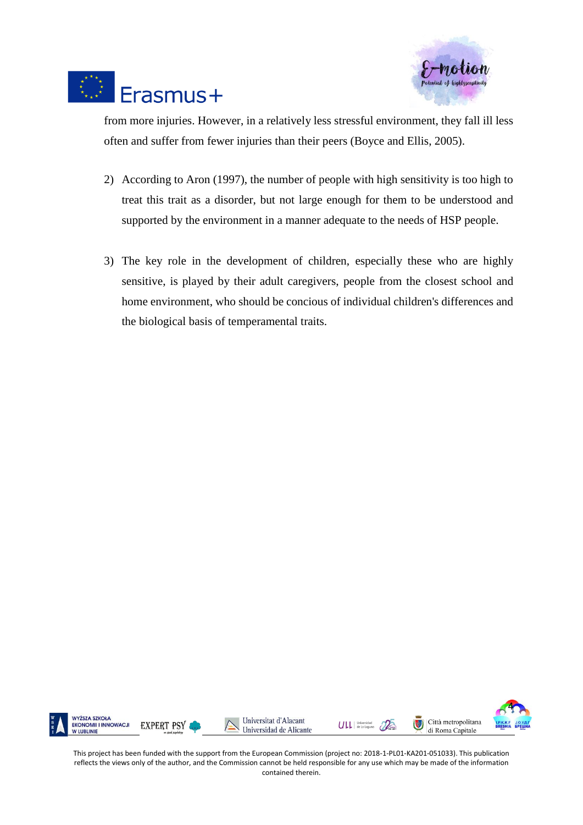



from more injuries. However, in a relatively less stressful environment, they fall ill less often and suffer from fewer injuries than their peers (Boyce and Ellis, 2005).

- 2) According to Aron (1997), the number of people with high sensitivity is too high to treat this trait as a disorder, but not large enough for them to be understood and supported by the environment in a manner adequate to the needs of HSP people.
- 3) The key role in the development of children, especially these who are highly sensitive, is played by their adult caregivers, people from the closest school and home environment, who should be concious of individual children's differences and the biological basis of temperamental traits.

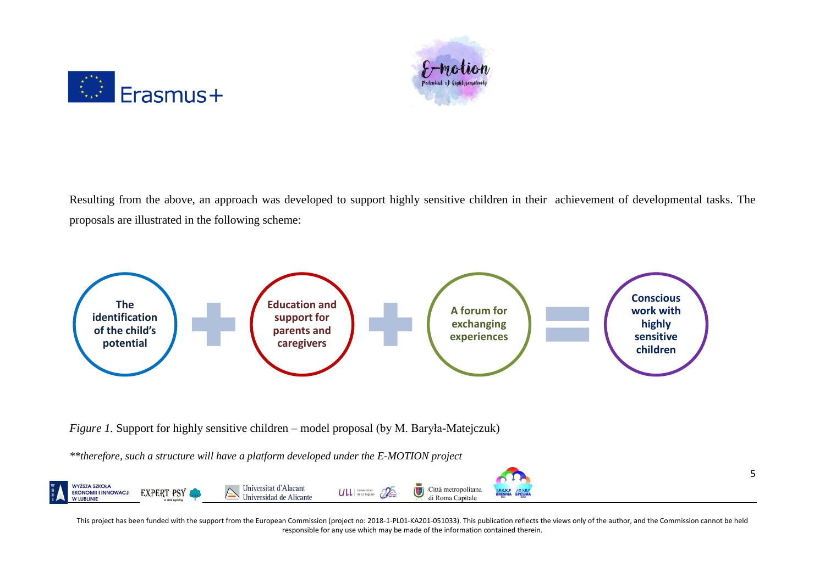



Resulting from the above, an approach was developed to support highly sensitive children in their achievement of developmental tasks. The proposals are illustrated in the following scheme:



*Figure 1.* Support for highly sensitive children – model proposal (by M. Baryła-Matejczuk)

*\*\*therefore, such a structure will have a platform developed under the E-MOTION project*

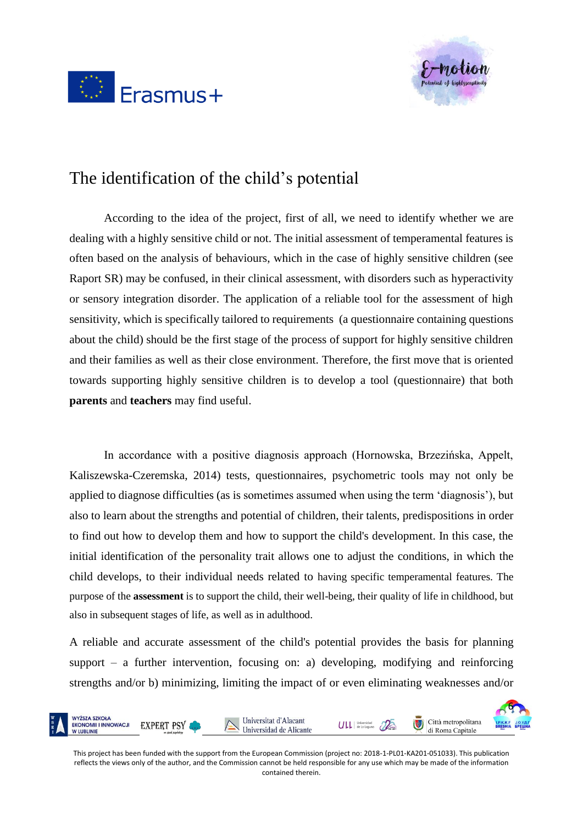



## The identification of the child's potential

According to the idea of the project, first of all, we need to identify whether we are dealing with a highly sensitive child or not. The initial assessment of temperamental features is often based on the analysis of behaviours, which in the case of highly sensitive children (see Raport SR) may be confused, in their clinical assessment, with disorders such as hyperactivity or sensory integration disorder. The application of a reliable tool for the assessment of high sensitivity, which is specifically tailored to requirements (a questionnaire containing questions about the child) should be the first stage of the process of support for highly sensitive children and their families as well as their close environment. Therefore, the first move that is oriented towards supporting highly sensitive children is to develop a tool (questionnaire) that both **parents** and **teachers** may find useful.

In accordance with a positive diagnosis approach (Hornowska, Brzezińska, Appelt, Kaliszewska-Czeremska, 2014) tests, questionnaires, psychometric tools may not only be applied to diagnose difficulties (as is sometimes assumed when using the term 'diagnosis'), but also to learn about the strengths and potential of children, their talents, predispositions in order to find out how to develop them and how to support the child's development. In this case, the initial identification of the personality trait allows one to adjust the conditions, in which the child develops, to their individual needs related to having specific temperamental features. The purpose of the **assessment** is to support the child, their well-being, their quality of life in childhood, but also in subsequent stages of life, as well as in adulthood.

A reliable and accurate assessment of the child's potential provides the basis for planning support – a further intervention, focusing on: a) developing, modifying and reinforcing strengths and/or b) minimizing, limiting the impact of or even eliminating weaknesses and/or

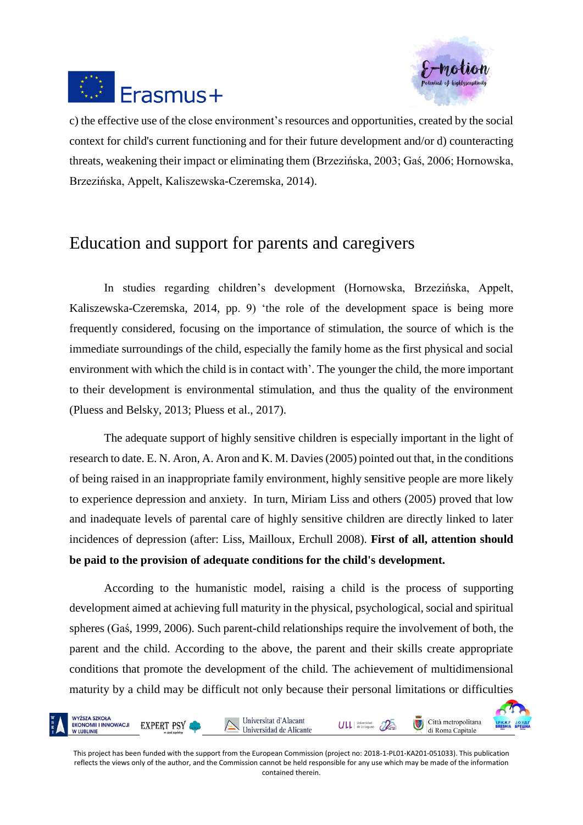



c) the effective use of the close environment's resources and opportunities, created by the social context for child's current functioning and for their future development and/or d) counteracting threats, weakening their impact or eliminating them (Brzezińska, 2003; Gaś, 2006; Hornowska, Brzezińska, Appelt, Kaliszewska-Czeremska, 2014).

### Education and support for parents and caregivers

In studies regarding children's development (Hornowska, Brzezińska, Appelt, Kaliszewska-Czeremska, 2014, pp. 9) 'the role of the development space is being more frequently considered, focusing on the importance of stimulation, the source of which is the immediate surroundings of the child, especially the family home as the first physical and social environment with which the child is in contact with'. The younger the child, the more important to their development is environmental stimulation, and thus the quality of the environment (Pluess and Belsky, 2013; Pluess et al., 2017).

The adequate support of highly sensitive children is especially important in the light of research to date. E. N. Aron, A. Aron and K. M. Davies (2005) pointed out that, in the conditions of being raised in an inappropriate family environment, highly sensitive people are more likely to experience depression and anxiety. In turn, Miriam Liss and others (2005) proved that low and inadequate levels of parental care of highly sensitive children are directly linked to later incidences of depression (after: Liss, Mailloux, Erchull 2008). **First of all, attention should be paid to the provision of adequate conditions for the child's development.** 

According to the humanistic model, raising a child is the process of supporting development aimed at achieving full maturity in the physical, psychological, social and spiritual spheres (Gaś, 1999, 2006). Such parent-child relationships require the involvement of both, the parent and the child. According to the above, the parent and their skills create appropriate conditions that promote the development of the child. The achievement of multidimensional maturity by a child may be difficult not only because their personal limitations or difficulties

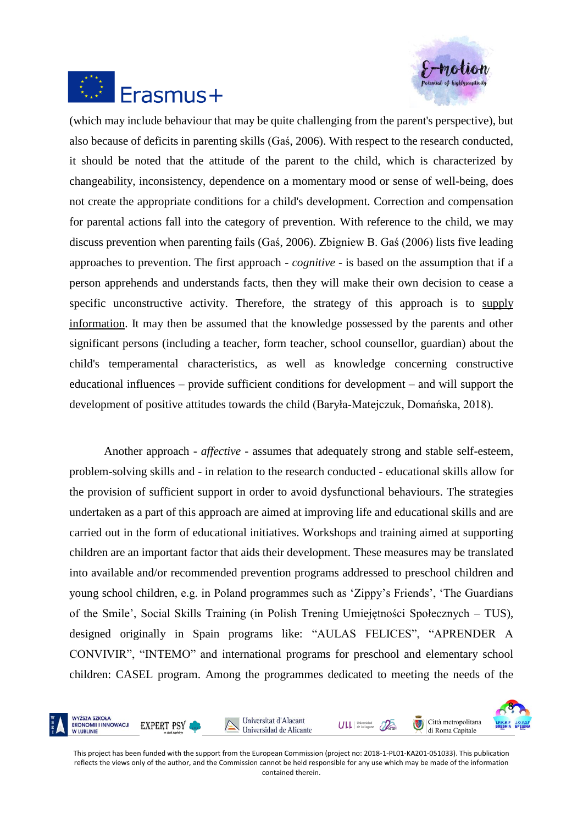



(which may include behaviour that may be quite challenging from the parent's perspective), but also because of deficits in parenting skills (Gaś, 2006). With respect to the research conducted, it should be noted that the attitude of the parent to the child, which is characterized by changeability, inconsistency, dependence on a momentary mood or sense of well-being, does not create the appropriate conditions for a child's development. Correction and compensation for parental actions fall into the category of prevention. With reference to the child, we may discuss prevention when parenting fails (Gaś, 2006). Zbigniew B. Gaś (2006) lists five leading approaches to prevention. The first approach - *cognitive* - is based on the assumption that if a person apprehends and understands facts, then they will make their own decision to cease a specific unconstructive activity. Therefore, the strategy of this approach is to supply information. It may then be assumed that the knowledge possessed by the parents and other significant persons (including a teacher, form teacher, school counsellor, guardian) about the child's temperamental characteristics, as well as knowledge concerning constructive educational influences – provide sufficient conditions for development – and will support the development of positive attitudes towards the child (Baryła-Matejczuk, Domańska, 2018).

Another approach - *affective* - assumes that adequately strong and stable self-esteem, problem-solving skills and - in relation to the research conducted - educational skills allow for the provision of sufficient support in order to avoid dysfunctional behaviours. The strategies undertaken as a part of this approach are aimed at improving life and educational skills and are carried out in the form of educational initiatives. Workshops and training aimed at supporting children are an important factor that aids their development. These measures may be translated into available and/or recommended prevention programs addressed to preschool children and young school children, e.g. in Poland programmes such as 'Zippy's Friends', 'The Guardians of the Smile', Social Skills Training (in Polish Trening Umiejętności Społecznych – TUS), designed originally in Spain programs like: "AULAS FELICES", "APRENDER A CONVIVIR", "INTEMO" and international programs for preschool and elementary school children: CASEL program. Among the programmes dedicated to meeting the needs of the

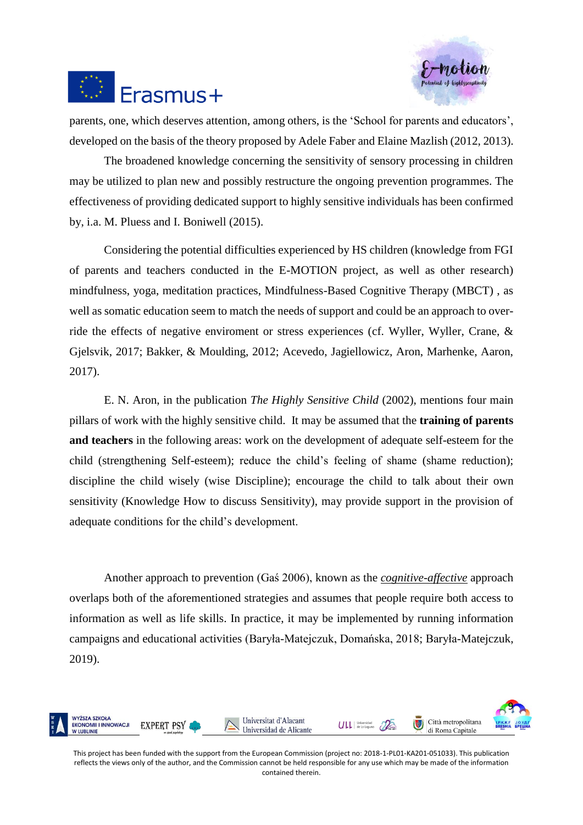



parents, one, which deserves attention, among others, is the 'School for parents and educators', developed on the basis of the theory proposed by Adele Faber and Elaine Mazlish (2012, 2013).

The broadened knowledge concerning the sensitivity of sensory processing in children may be utilized to plan new and possibly restructure the ongoing prevention programmes. The effectiveness of providing dedicated support to highly sensitive individuals has been confirmed by, i.a. M. Pluess and I. Boniwell (2015).

Considering the potential difficulties experienced by HS children (knowledge from FGI of parents and teachers conducted in the E-MOTION project, as well as other research) mindfulness, yoga, meditation practices, Mindfulness-Based Cognitive Therapy (MBCT) , as well as somatic education seem to match the needs of support and could be an approach to override the effects of negative enviroment or stress experiences (cf. Wyller, Wyller, Crane, & Gjelsvik, 2017; Bakker, & Moulding, 2012; Acevedo, Jagiellowicz, Aron, Marhenke, Aaron, 2017).

E. N. Aron, in the publication *The Highly Sensitive Child* (2002), mentions four main pillars of work with the highly sensitive child. It may be assumed that the **training of parents and teachers** in the following areas: work on the development of adequate self-esteem for the child (strengthening Self-esteem); reduce the child's feeling of shame (shame reduction); discipline the child wisely (wise Discipline); encourage the child to talk about their own sensitivity (Knowledge How to discuss Sensitivity), may provide support in the provision of adequate conditions for the child's development.

Another approach to prevention (Gaś 2006), known as the *cognitive-affective* approach overlaps both of the aforementioned strategies and assumes that people require both access to information as well as life skills. In practice, it may be implemented by running information campaigns and educational activities (Baryła-Matejczuk, Domańska, 2018; Baryła-Matejczuk, 2019).

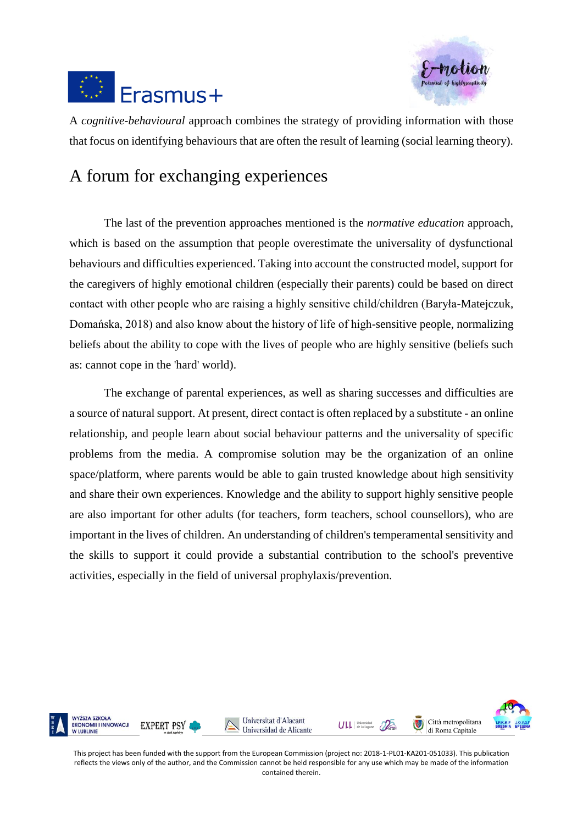



A *cognitive-behavioural* approach combines the strategy of providing information with those that focus on identifying behaviours that are often the result of learning (social learning theory).

#### A forum for exchanging experiences

The last of the prevention approaches mentioned is the *normative education* approach, which is based on the assumption that people overestimate the universality of dysfunctional behaviours and difficulties experienced. Taking into account the constructed model, support for the caregivers of highly emotional children (especially their parents) could be based on direct contact with other people who are raising a highly sensitive child/children (Baryła-Matejczuk, Domańska, 2018) and also know about the history of life of high-sensitive people, normalizing beliefs about the ability to cope with the lives of people who are highly sensitive (beliefs such as: cannot cope in the 'hard' world).

The exchange of parental experiences, as well as sharing successes and difficulties are a source of natural support. At present, direct contact is often replaced by a substitute - an online relationship, and people learn about social behaviour patterns and the universality of specific problems from the media. A compromise solution may be the organization of an online space/platform, where parents would be able to gain trusted knowledge about high sensitivity and share their own experiences. Knowledge and the ability to support highly sensitive people are also important for other adults (for teachers, form teachers, school counsellors), who are important in the lives of children. An understanding of children's temperamental sensitivity and the skills to support it could provide a substantial contribution to the school's preventive activities, especially in the field of universal prophylaxis/prevention.

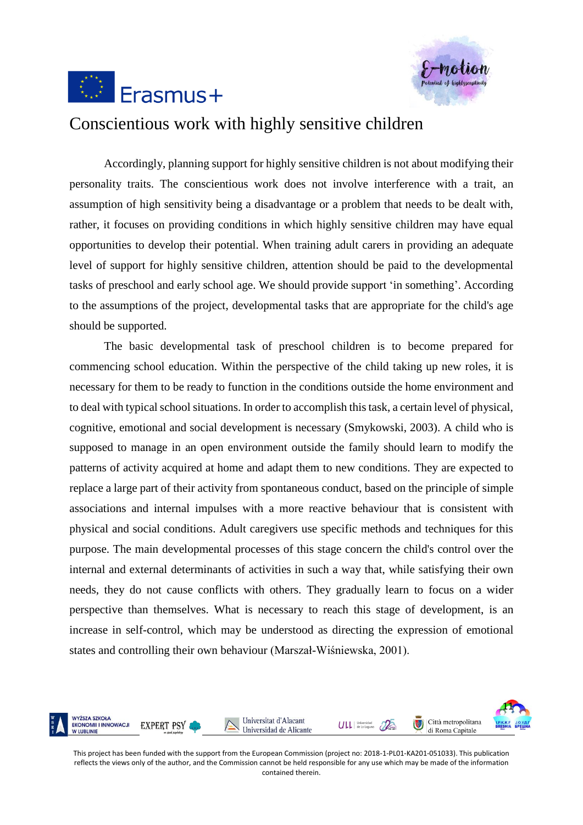



#### Conscientious work with highly sensitive children

Accordingly, planning support for highly sensitive children is not about modifying their personality traits. The conscientious work does not involve interference with a trait, an assumption of high sensitivity being a disadvantage or a problem that needs to be dealt with, rather, it focuses on providing conditions in which highly sensitive children may have equal opportunities to develop their potential. When training adult carers in providing an adequate level of support for highly sensitive children, attention should be paid to the developmental tasks of preschool and early school age. We should provide support 'in something'. According to the assumptions of the project, developmental tasks that are appropriate for the child's age should be supported.

The basic developmental task of preschool children is to become prepared for commencing school education. Within the perspective of the child taking up new roles, it is necessary for them to be ready to function in the conditions outside the home environment and to deal with typical school situations. In order to accomplish this task, a certain level of physical, cognitive, emotional and social development is necessary (Smykowski, 2003). A child who is supposed to manage in an open environment outside the family should learn to modify the patterns of activity acquired at home and adapt them to new conditions. They are expected to replace a large part of their activity from spontaneous conduct, based on the principle of simple associations and internal impulses with a more reactive behaviour that is consistent with physical and social conditions. Adult caregivers use specific methods and techniques for this purpose. The main developmental processes of this stage concern the child's control over the internal and external determinants of activities in such a way that, while satisfying their own needs, they do not cause conflicts with others. They gradually learn to focus on a wider perspective than themselves. What is necessary to reach this stage of development, is an increase in self-control, which may be understood as directing the expression of emotional states and controlling their own behaviour (Marszał-Wiśniewska, 2001).

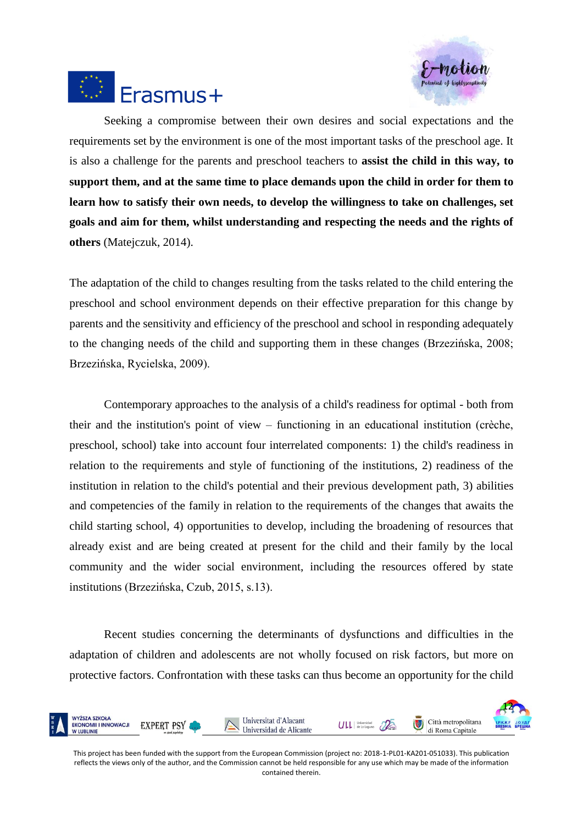



Seeking a compromise between their own desires and social expectations and the requirements set by the environment is one of the most important tasks of the preschool age. It is also a challenge for the parents and preschool teachers to **assist the child in this way, to support them, and at the same time to place demands upon the child in order for them to learn how to satisfy their own needs, to develop the willingness to take on challenges, set goals and aim for them, whilst understanding and respecting the needs and the rights of others** (Matejczuk, 2014).

The adaptation of the child to changes resulting from the tasks related to the child entering the preschool and school environment depends on their effective preparation for this change by parents and the sensitivity and efficiency of the preschool and school in responding adequately to the changing needs of the child and supporting them in these changes (Brzezińska, 2008; Brzezińska, Rycielska, 2009).

Contemporary approaches to the analysis of a child's readiness for optimal - both from their and the institution's point of view – functioning in an educational institution (crèche, preschool, school) take into account four interrelated components: 1) the child's readiness in relation to the requirements and style of functioning of the institutions, 2) readiness of the institution in relation to the child's potential and their previous development path, 3) abilities and competencies of the family in relation to the requirements of the changes that awaits the child starting school, 4) opportunities to develop, including the broadening of resources that already exist and are being created at present for the child and their family by the local community and the wider social environment, including the resources offered by state institutions (Brzezińska, Czub, 2015, s.13).

Recent studies concerning the determinants of dysfunctions and difficulties in the adaptation of children and adolescents are not wholly focused on risk factors, but more on protective factors. Confrontation with these tasks can thus become an opportunity for the child

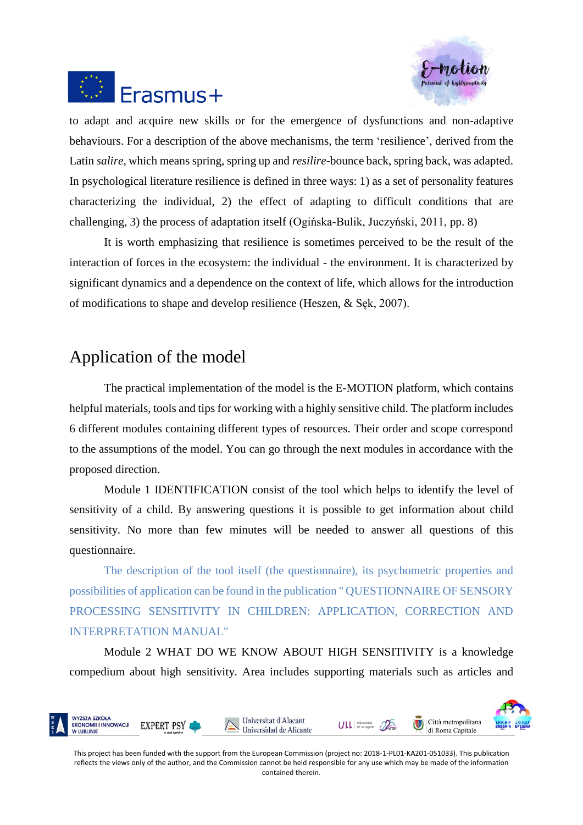



to adapt and acquire new skills or for the emergence of dysfunctions and non-adaptive behaviours. For a description of the above mechanisms, the term 'resilience', derived from the Latin *salire*, which means spring, spring up and *resilire*-bounce back, spring back, was adapted. In psychological literature resilience is defined in three ways: 1) as a set of personality features characterizing the individual, 2) the effect of adapting to difficult conditions that are challenging, 3) the process of adaptation itself (Ogińska-Bulik, Juczyński, 2011, pp. 8)

It is worth emphasizing that resilience is sometimes perceived to be the result of the interaction of forces in the ecosystem: the individual - the environment. It is characterized by significant dynamics and a dependence on the context of life, which allows for the introduction of modifications to shape and develop resilience (Heszen, & Sęk, 2007).

### Application of the model

The practical implementation of the model is the E-MOTION platform, which contains helpful materials, tools and tips for working with a highly sensitive child. The platform includes 6 different modules containing different types of resources. Their order and scope correspond to the assumptions of the model. You can go through the next modules in accordance with the proposed direction.

Module 1 IDENTIFICATION consist of the tool which helps to identify the level of sensitivity of a child. By answering questions it is possible to get information about child sensitivity. No more than few minutes will be needed to answer all questions of this questionnaire.

The description of the tool itself (the questionnaire), its psychometric properties and possibilities of application can be found in the publication " QUESTIONNAIRE OF SENSORY PROCESSING SENSITIVITY IN CHILDREN: APPLICATION, CORRECTION AND INTERPRETATION MANUAL"

Module 2 WHAT DO WE KNOW ABOUT HIGH SENSITIVITY is a knowledge compedium about high sensitivity. Area includes supporting materials such as articles and

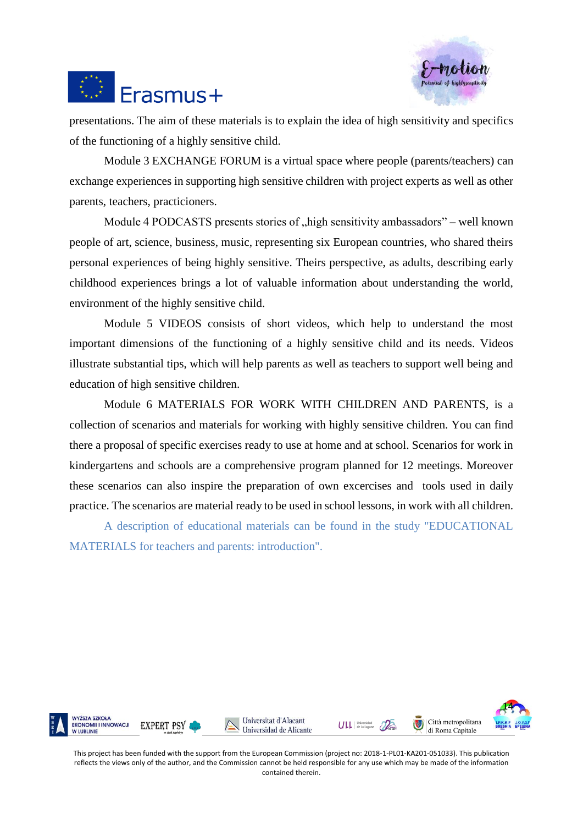



presentations. The aim of these materials is to explain the idea of high sensitivity and specifics of the functioning of a highly sensitive child.

Module 3 EXCHANGE FORUM is a virtual space where people (parents/teachers) can exchange experiences in supporting high sensitive children with project experts as well as other parents, teachers, practicioners.

Module 4 PODCASTS presents stories of "high sensitivity ambassadors" – well known people of art, science, business, music, representing six European countries, who shared theirs personal experiences of being highly sensitive. Theirs perspective, as adults, describing early childhood experiences brings a lot of valuable information about understanding the world, environment of the highly sensitive child.

Module 5 VIDEOS consists of short videos, which help to understand the most important dimensions of the functioning of a highly sensitive child and its needs. Videos illustrate substantial tips, which will help parents as well as teachers to support well being and education of high sensitive children.

Module 6 MATERIALS FOR WORK WITH CHILDREN AND PARENTS, is a collection of scenarios and materials for working with highly sensitive children. You can find there a proposal of specific exercises ready to use at home and at school. Scenarios for work in kindergartens and schools are a comprehensive program planned for 12 meetings. Moreover these scenarios can also inspire the preparation of own excercises and tools used in daily practice. The scenarios are material ready to be used in school lessons, in work with all children.

A description of educational materials can be found in the study "EDUCATIONAL MATERIALS for teachers and parents: introduction".

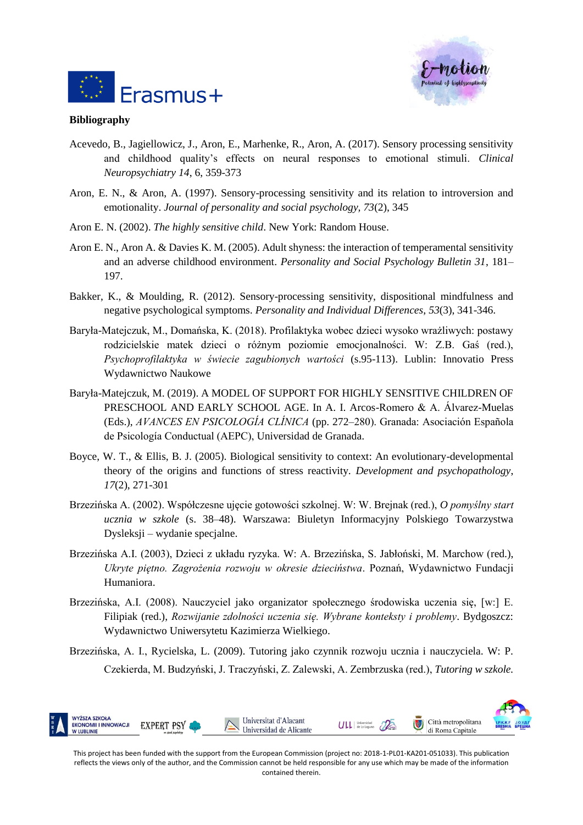



#### **Bibliography**

- Acevedo, B., Jagiellowicz, J., Aron, E., Marhenke, R., Aron, A. (2017). Sensory processing sensitivity and childhood quality's effects on neural responses to emotional stimuli. *Clinical Neuropsychiatry 14*, 6, 359-373
- Aron, E. N., & Aron, A. (1997). Sensory-processing sensitivity and its relation to introversion and emotionality. *Journal of personality and social psychology, 73*(2), 345
- Aron E. N. (2002). *The highly sensitive child*. New York: Random House.
- Aron E. N., Aron A. & Davies K. M. (2005). Adult shyness: the interaction of temperamental sensitivity and an adverse childhood environment. *Personality and Social Psychology Bulletin 31*, 181– 197.
- Bakker, K., & Moulding, R. (2012). Sensory-processing sensitivity, dispositional mindfulness and negative psychological symptoms. *Personality and Individual Differences*, *53*(3), 341-346.
- Baryła-Matejczuk, M., Domańska, K. (2018). Profilaktyka wobec dzieci wysoko wrażliwych: postawy rodzicielskie matek dzieci o różnym poziomie emocjonalności. W: Z.B. Gaś (red.), *Psychoprofilaktyka w świecie zagubionych wartości* (s.95-113). Lublin: Innovatio Press Wydawnictwo Naukowe
- Baryła-Matejczuk, M. (2019). A MODEL OF SUPPORT FOR HIGHLY SENSITIVE CHILDREN OF PRESCHOOL AND EARLY SCHOOL AGE. In A. I. Arcos-Romero & A. Álvarez-Muelas (Eds.), *AVANCES EN PSICOLOGÍA CLÍNICA* (pp. 272–280). Granada: Asociación Española de Psicología Conductual (AEPC), Universidad de Granada.
- Boyce, W. T., & Ellis, B. J. (2005). Biological sensitivity to context: An evolutionary-developmental theory of the origins and functions of stress reactivity. *Development and psychopathology*, *17*(2), 271-301
- Brzezińska A. (2002). Współczesne ujęcie gotowości szkolnej. W: W. Brejnak (red.), *O pomyślny start ucznia w szkole* (s. 38–48). Warszawa: Biuletyn Informacyjny Polskiego Towarzystwa Dysleksji – wydanie specjalne.
- Brzezińska A.I. (2003), Dzieci z układu ryzyka. W: A. Brzezińska, S. Jabłoński, M. Marchow (red.), *Ukryte piętno. Zagrożenia rozwoju w okresie dzieciństwa*. Poznań, Wydawnictwo Fundacji Humaniora.
- Brzezińska, A.I. (2008). Nauczyciel jako organizator społecznego środowiska uczenia się, [w:] E. Filipiak (red.), *Rozwijanie zdolności uczenia się. Wybrane konteksty i problemy*. Bydgoszcz: Wydawnictwo Uniwersytetu Kazimierza Wielkiego.
- Brzezińska, A. I., Rycielska, L. (2009). Tutoring jako czynnik rozwoju ucznia i nauczyciela. W: P. Czekierda, M. Budzyński, J. Traczyński, Z. Zalewski, A. Zembrzuska (red.), *Tutoring w szkole.*

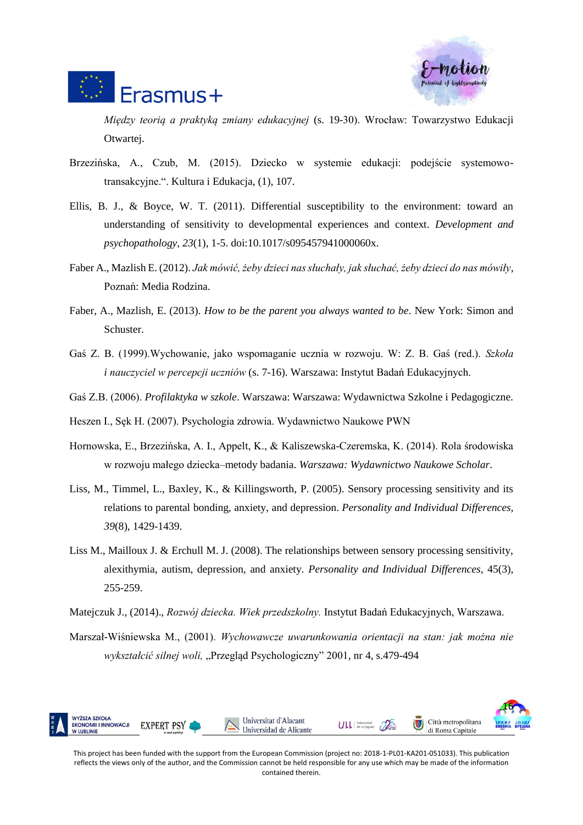



*Między teorią a praktyką zmiany edukacyjnej* (s. 19-30). Wrocław: Towarzystwo Edukacji Otwartej.

- Brzezińska, A., Czub, M. (2015). Dziecko w systemie edukacji: podejście systemowotransakcyjne.". Kultura i Edukacja, (1), 107.
- Ellis, B. J., & Boyce, W. T. (2011). Differential susceptibility to the environment: toward an understanding of sensitivity to developmental experiences and context. *Development and psychopathology, 23*(1), 1-5. doi:10.1017/s095457941000060x.
- Faber A., Mazlish E. (2012). *Jak mówić, żeby dzieci nas słuchały, jak słuchać, żeby dzieci do nas mówiły*, Poznań: Media Rodzina.
- Faber, A., Mazlish, E. (2013). *How to be the parent you always wanted to be*. New York: Simon and Schuster.
- Gaś Z. B. (1999).Wychowanie, jako wspomaganie ucznia w rozwoju. W: Z. B. Gaś (red.). *Szkoła i nauczyciel w percepcji uczniów* (s. 7-16). Warszawa: Instytut Badań Edukacyjnych.
- Gaś Z.B. (2006). *Profilaktyka w szkole*. Warszawa: Warszawa: Wydawnictwa Szkolne i Pedagogiczne.

Heszen I., Sęk H. (2007). Psychologia zdrowia. Wydawnictwo Naukowe PWN

- Hornowska, E., Brzezińska, A. I., Appelt, K., & Kaliszewska-Czeremska, K. (2014). Rola środowiska w rozwoju małego dziecka–metody badania. *Warszawa: Wydawnictwo Naukowe Scholar*.
- Liss, M., Timmel, L., Baxley, K., & Killingsworth, P. (2005). Sensory processing sensitivity and its relations to parental bonding, anxiety, and depression. *Personality and Individual Differences, 39*(8), 1429-1439.
- Liss M., Mailloux J. & Erchull M. J. (2008). The relationships between sensory processing sensitivity, alexithymia, autism, depression, and anxiety. *Personality and Individual Differences*, 45(3), 255-259.
- Matejczuk J., (2014)., *Rozwój dziecka. Wiek przedszkolny.* Instytut Badań Edukacyjnych, Warszawa.
- Marszał-Wiśniewska M., (2001). *Wychowawcze uwarunkowania orientacji na stan: jak można nie wykształcić silnej woli,* "Przegląd Psychologiczny" 2001*,* nr 4, s.479-494